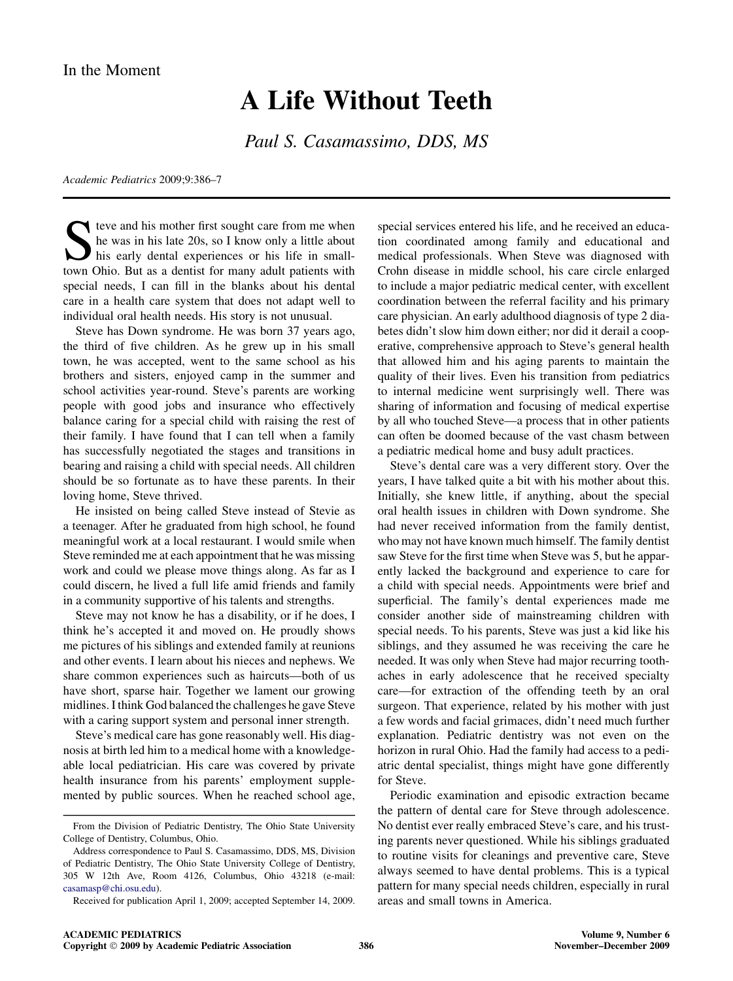## A Life Without Teeth

Paul S. Casamassimo, DDS, MS

Academic Pediatrics 2009;9:386–7

Steve and his mother first sought care from me when<br>he was in his late 20s, so I know only a little about<br>his early dental experiences or his life in small-<br>town Ohio. But as a dentist for many adult patients with he was in his late 20s, so I know only a little about his early dental experiences or his life in smalltown Ohio. But as a dentist for many adult patients with special needs, I can fill in the blanks about his dental care in a health care system that does not adapt well to individual oral health needs. His story is not unusual.

Steve has Down syndrome. He was born 37 years ago, the third of five children. As he grew up in his small town, he was accepted, went to the same school as his brothers and sisters, enjoyed camp in the summer and school activities year-round. Steve's parents are working people with good jobs and insurance who effectively balance caring for a special child with raising the rest of their family. I have found that I can tell when a family has successfully negotiated the stages and transitions in bearing and raising a child with special needs. All children should be so fortunate as to have these parents. In their loving home, Steve thrived.

He insisted on being called Steve instead of Stevie as a teenager. After he graduated from high school, he found meaningful work at a local restaurant. I would smile when Steve reminded me at each appointment that he was missing work and could we please move things along. As far as I could discern, he lived a full life amid friends and family in a community supportive of his talents and strengths.

Steve may not know he has a disability, or if he does, I think he's accepted it and moved on. He proudly shows me pictures of his siblings and extended family at reunions and other events. I learn about his nieces and nephews. We share common experiences such as haircuts—both of us have short, sparse hair. Together we lament our growing midlines. I think God balanced the challenges he gave Steve with a caring support system and personal inner strength.

Steve's medical care has gone reasonably well. His diagnosis at birth led him to a medical home with a knowledgeable local pediatrician. His care was covered by private health insurance from his parents' employment supplemented by public sources. When he reached school age,

special services entered his life, and he received an education coordinated among family and educational and medical professionals. When Steve was diagnosed with Crohn disease in middle school, his care circle enlarged to include a major pediatric medical center, with excellent coordination between the referral facility and his primary care physician. An early adulthood diagnosis of type 2 diabetes didn't slow him down either; nor did it derail a cooperative, comprehensive approach to Steve's general health that allowed him and his aging parents to maintain the quality of their lives. Even his transition from pediatrics to internal medicine went surprisingly well. There was sharing of information and focusing of medical expertise by all who touched Steve—a process that in other patients can often be doomed because of the vast chasm between a pediatric medical home and busy adult practices.

Steve's dental care was a very different story. Over the years, I have talked quite a bit with his mother about this. Initially, she knew little, if anything, about the special oral health issues in children with Down syndrome. She had never received information from the family dentist, who may not have known much himself. The family dentist saw Steve for the first time when Steve was 5, but he apparently lacked the background and experience to care for a child with special needs. Appointments were brief and superficial. The family's dental experiences made me consider another side of mainstreaming children with special needs. To his parents, Steve was just a kid like his siblings, and they assumed he was receiving the care he needed. It was only when Steve had major recurring toothaches in early adolescence that he received specialty care—for extraction of the offending teeth by an oral surgeon. That experience, related by his mother with just a few words and facial grimaces, didn't need much further explanation. Pediatric dentistry was not even on the horizon in rural Ohio. Had the family had access to a pediatric dental specialist, things might have gone differently for Steve.

Periodic examination and episodic extraction became the pattern of dental care for Steve through adolescence. No dentist ever really embraced Steve's care, and his trusting parents never questioned. While his siblings graduated to routine visits for cleanings and preventive care, Steve always seemed to have dental problems. This is a typical pattern for many special needs children, especially in rural areas and small towns in America.

From the Division of Pediatric Dentistry, The Ohio State University College of Dentistry, Columbus, Ohio.

Address correspondence to Paul S. Casamassimo, DDS, MS, Division of Pediatric Dentistry, The Ohio State University College of Dentistry, 305 W 12th Ave, Room 4126, Columbus, Ohio 43218 (e-mail: [casamasp@chi.osu.edu](mailto:casamasp@chi.osu.edu)).

Received for publication April 1, 2009; accepted September 14, 2009.